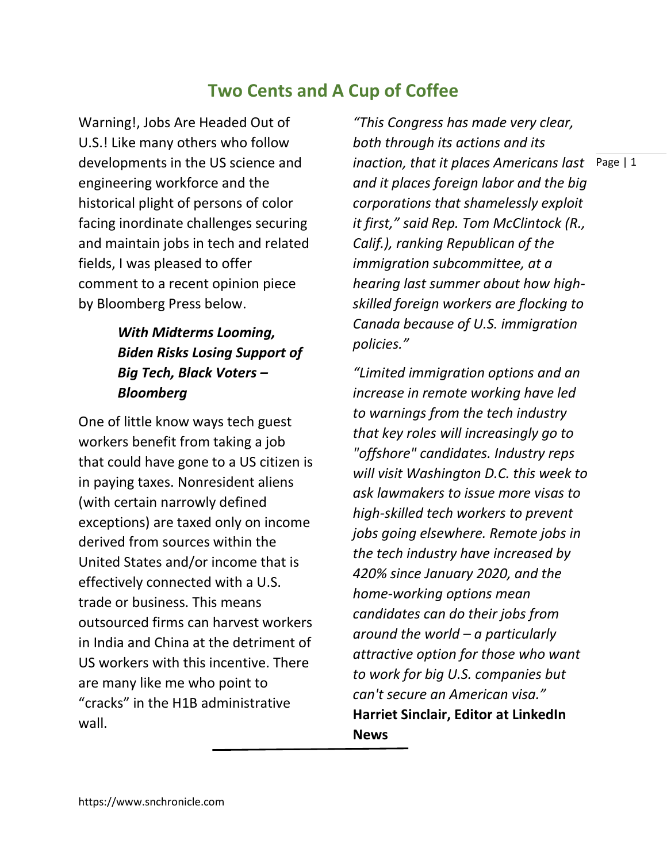# **Two Cents and A Cup of Coffee**

Warning!, Jobs Are Headed Out of U.S.! Like many others who follow developments in the US science and engineering workforce and the historical plight of persons of color facing inordinate challenges securing and maintain jobs in tech and related fields, I was pleased to offer comment to a recent opinion piece by Bloomberg Press below.

## *With Midterms Looming, Biden Risks Losing Support of Big Tech, Black Voters – Bloomberg*

One of little know ways tech guest workers benefit from taking a job that could have gone to a US citizen is in paying taxes. Nonresident aliens (with certain narrowly defined exceptions) are taxed only on income derived from sources within the United States and/or income that is effectively connected with a U.S. trade or business. This means outsourced firms can harvest workers in India and China at the detriment of US workers with this incentive. There are many like me who point to "cracks" in the H1B administrative wall.

*inaction, that it places Americans last* Page | 1 *"This Congress has made very clear, both through its actions and its and it places foreign labor and the big corporations that shamelessly exploit it first," said Rep. Tom McClintock (R., Calif.), ranking Republican of the immigration subcommittee, at a hearing last summer about how highskilled foreign workers are flocking to Canada because of U.S. immigration policies."*

*"Limited immigration options and an increase in remote working have led to warnings from the tech industry that key roles will increasingly go to "offshore" candidates. Industry reps will visit Washington D.C. this week to ask lawmakers to issue more visas to high-skilled tech workers to prevent jobs going elsewhere. Remote jobs in the tech industry have increased by 420% since January 2020, and the home-working options mean candidates can do their jobs from around the world – a particularly attractive option for those who want to work for big U.S. companies but can't secure an American visa."*  **Harriet Sinclair, Editor at LinkedIn News**

https://www.snchronicle.com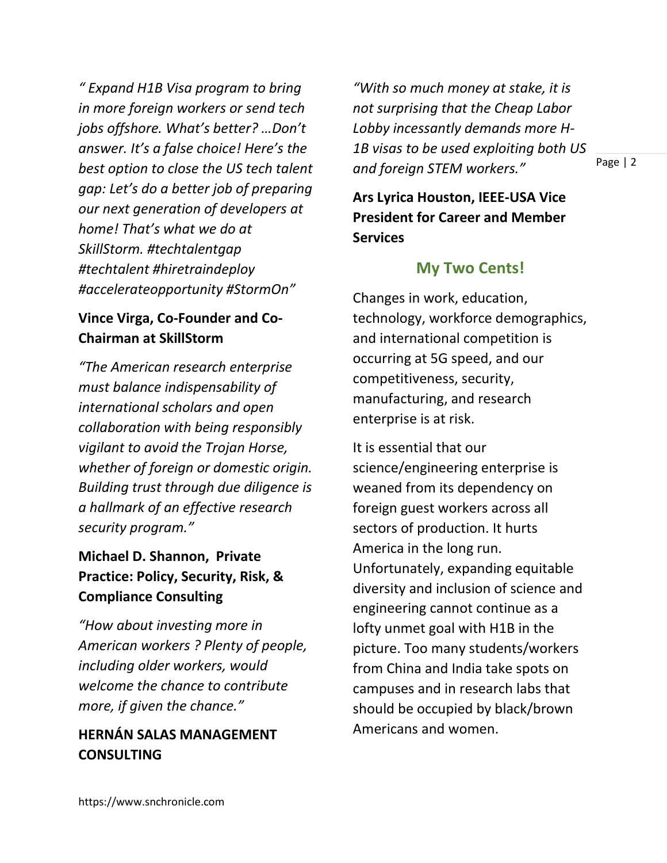*" Expand H1B Visa program to bring in more foreign workers or send tech jobs offshore. What's better? …Don't answer. It's a false choice! Here's the best option to close the US tech talent gap: Let's do a better job of preparing our next generation of developers at home! That's what we do at SkillStorm. #techtalentgap #techtalent #hiretraindeploy #accelerateopportunity #StormOn"*

### **Vince Virga, Co-Founder and Co-Chairman at SkillStorm**

*"The American research enterprise must balance indispensability of international scholars and open collaboration with being responsibly vigilant to avoid the Trojan Horse, whether of foreign or domestic origin. Building trust through due diligence is a hallmark of an effective research security program."*

### **Michael D. Shannon, Private Practice: Policy, Security, Risk, & Compliance Consulting**

*"How about investing more in American workers ? Plenty of people, including older workers, would welcome the chance to contribute more, if given the chance."* 

#### **HERNÁN SALAS MANAGEMENT CONSULTING**

*"With so much money at stake, it is not surprising that the Cheap Labor Lobby incessantly demands more H-1B visas to be used exploiting both US and foreign STEM workers."*

Page | 2

**Ars Lyrica Houston, IEEE-USA Vice President for Career and Member Services**

### **My Two Cents!**

Changes in work, education, technology, workforce demographics, and international competition is occurring at 5G speed, and our competitiveness, security, manufacturing, and research enterprise is at risk.

It is essential that our science/engineering enterprise is weaned from its dependency on foreign guest workers across all sectors of production. It hurts America in the long run. Unfortunately, expanding equitable diversity and inclusion of science and engineering cannot continue as a lofty unmet goal with H1B in the picture. Too many students/workers from China and India take spots on campuses and in research labs that should be occupied by black/brown Americans and women.